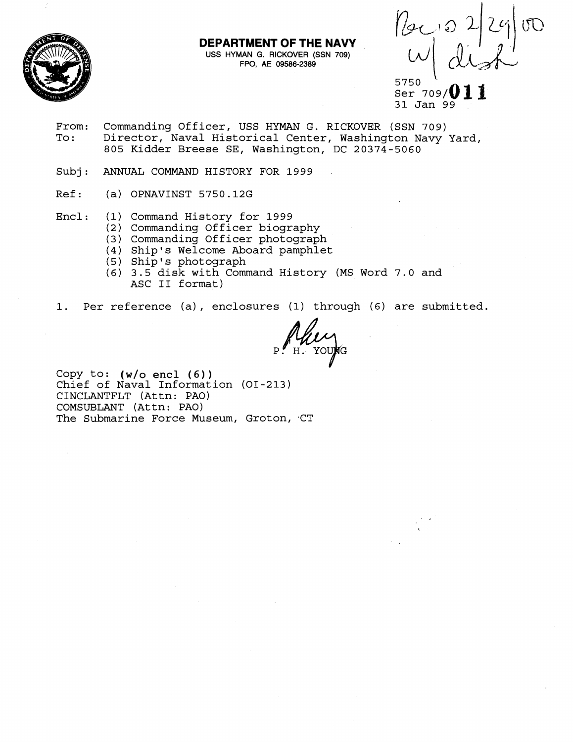

## **DEPARTMENT OF THE NAVY**

**USS HYMAN G. RICKOVER (SSN 709) FPO, AE 09586-2389** 

 $\left[\begin{array}{cc|c} \frac{1}{2} & 0 & 2 & 2 & 0 \\ \frac{1}{2} & 0 & 0 & 0 & 0 \\ \end{array}\right]$ 

5750 Ser 709/ 31 Jan 99

- From: Commanding Officer, USS HYMAN G. RICKOVER (SSN 709)<br>To: Director, Naval Historical Center, Washington Navy Director, Naval Historical Center, Washington Navy Yard, 805 Kidder Breese SE, Washington, DC 20374-5060
- Subj: ANNUAL COMMAND HISTORY FOR 1999
- Ref: (a) OPNAVINST 5750.12G
- Encl: (1) Command History for 1999
	- (2) Commanding Officer biography
	- (3) Commanding Officer photograph
	- (4) Ship's Welcome Aboard pamphlet
	- (5) Ship's photograph
	- (6) 3.5 disk with Command History (MS Word 7.0 and ASC I1 format)
- 1. Per reference (a) , enclosures (1) through (6) are submitted.

H YOUR

COPY to: **(w/o** encl (6)) Chief of Naval Information (01-213) CINCLANTFLT (Attn: PAO) COMSUBLANT (Attn: PAO) The Submarine Force Museum, Groton, CT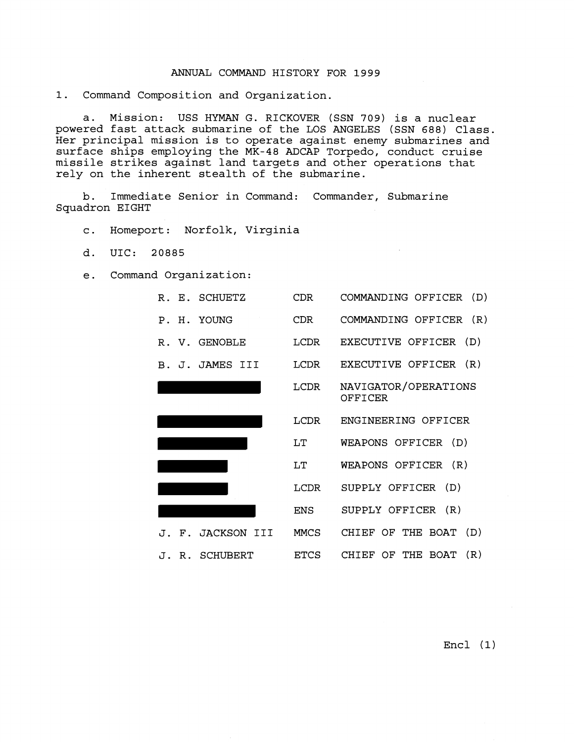## ANNUAL COMMAND HISTORY FOR 1999

1. Command Composition and Organization.

a. Mission: USS HYMAN G. RICKOVER (SSN 709) is a nuclear powered fast attack submarine of the LOS ANGELES (SSN 688) Class. Her principal mission is to operate against enemy submarines and surface ships employing the MK-48 ADCAP Torpedo, conduct cruise missile strikes against land targets and other operations that rely on the inherent stealth of the submarine.

b. Immediate Senior in Command: Commander, Submarine Squadron EIGHT

- c. Homeport: Norfolk, Virginia
- d. UIC: 20885
- e. Command Organization:

| R. E. SCHUETZ     | CDR        | COMMANDING OFFICER (D)          |
|-------------------|------------|---------------------------------|
| P. H. YOUNG       | CDR.       | COMMANDING OFFICER (R)          |
| R. V. GENOBLE     | LCDR       | EXECUTIVE OFFICER (D)           |
| B. J. JAMES III   |            | LCDR EXECUTIVE OFFICER (R)      |
|                   | LCDR       | NAVIGATOR/OPERATIONS<br>OFFICER |
|                   |            | LCDR ENGINEERING OFFICER        |
|                   | LT         | WEAPONS OFFICER (D)             |
|                   | LT         | WEAPONS OFFICER (R)             |
|                   |            |                                 |
|                   | LCDR       | SUPPLY OFFICER (D)              |
|                   | <b>ENS</b> | SUPPLY OFFICER (R)              |
| J. F. JACKSON III | MMCS       | CHIEF OF THE BOAT (D)           |

Encl (1)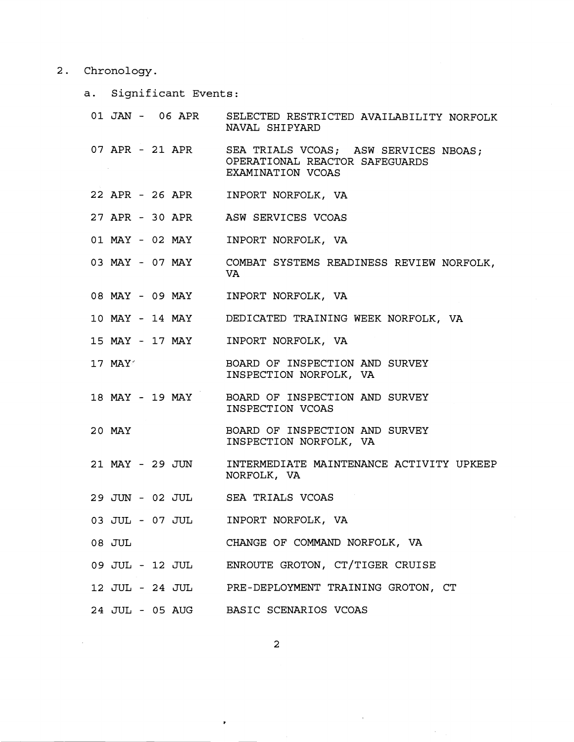## 2. Chronology.

 $\mathcal{L}_{\mathcal{A}}$ 

a. Significant Events:

|                 | 01 JAN - 06 APR SELECTED RESTRICTED AVAILABILITY NORFOLK<br>NAVAL SHIPYARD                                   |
|-----------------|--------------------------------------------------------------------------------------------------------------|
|                 | 07 APR - 21 APR SEA TRIALS VCOAS; ASW SERVICES NBOAS;<br>OPERATIONAL REACTOR SAFEGUARDS<br>EXAMINATION VCOAS |
|                 | 22 APR - 26 APR INPORT NORFOLK, VA                                                                           |
|                 | 27 APR - 30 APR ASW SERVICES VCOAS                                                                           |
|                 | 01 MAY - 02 MAY INPORT NORFOLK, VA                                                                           |
|                 | 03 MAY - 07 MAY COMBAT SYSTEMS READINESS REVIEW NORFOLK,<br>VA.                                              |
|                 | 08 MAY - 09 MAY INPORT NORFOLK, VA                                                                           |
|                 | 10 MAY - 14 MAY DEDICATED TRAINING WEEK NORFOLK, VA                                                          |
|                 | 15 MAY - 17 MAY INPORT NORFOLK, VA                                                                           |
| $17$ MAY        | BOARD OF INSPECTION AND SURVEY<br>INSPECTION NORFOLK, VA                                                     |
|                 | 18 MAY - 19 MAY BOARD OF INSPECTION AND SURVEY<br>INSPECTION VCOAS                                           |
| 20 MAY          | BOARD OF INSPECTION AND SURVEY<br>INSPECTION NORFOLK, VA                                                     |
| 21 MAY - 29 JUN | INTERMEDIATE MAINTENANCE ACTIVITY UPKEEP<br>NORFOLK, VA                                                      |
|                 | 29 JUN - 02 JUL SEA TRIALS VCOAS                                                                             |
|                 | 03 JUL - 07 JUL INPORT NORFOLK, VA                                                                           |
| 08 JUL          | CHANGE OF COMMAND NORFOLK, VA                                                                                |
|                 | 09 JUL - 12 JUL ENROUTE GROTON, CT/TIGER CRUISE                                                              |
|                 | 12 JUL - 24 JUL PRE-DEPLOYMENT TRAINING GROTON, CT                                                           |
|                 | 24 JUL - 05 AUG BASIC SCENARIOS VCOAS                                                                        |

 $\overline{a}$ 

 $\mathcal{L}^{\pm}$ 

 $\ddot{\phantom{1}}$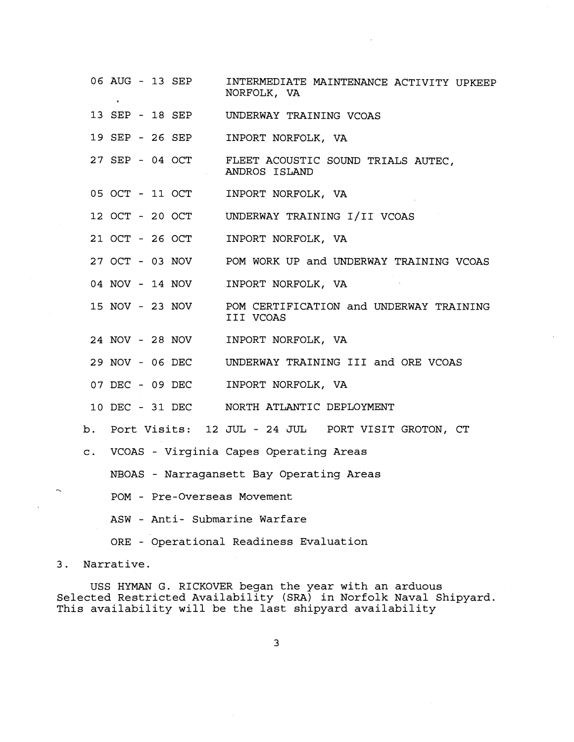**06** AUG - **13** SEP INTERMEDIATE MAINTENANCE ACTIVITY UPKEEP NORFOLK, VA **13** SEP - **18** SEP UNDERWAY TRAINING VCOAS **19** SEP - **26** SEP INPORT NORFOLK, VA **27** SEP - **04** OCT FLEET ACOUSTIC SOUND TRIALS AUTEC, ANDROS ISLAND **05** OCT - **11** OCT INPORT NORFOLK, VA **12** OCT - **20** OCT UNDERWAY TRAINING 1/11 VCOAS **21** OCT - **26** OCT INPORT NORFOLK, VA **27** OCT - **03** NOV POM WORK UP and UNDERWAY TRAINING VCOAS **04** NOV - **14** NOV INPORT NORFOLK, VA **15** NOV - **23** NOV POM CERTIFICATION and UNDERWAY TRAINING I11 VCOAS **24** NOV - **28** NOV INPORT NORFOLK, VA **29** NOV - **06** DEC UNDERWAY TRAINING I11 and ORE VCOAS **07** DEC - **09** DEC INPORT NORFOLK, VA **10** DEC - **31** DEC NORTH ATLANTIC DEPLOYMENT b. Port Visits: **12** JUL - **24** JUL PORT VISIT GROTON, CT c. VCOAS - Virginia Capes Operating Areas NBOAS - Narragansett Bay Operating Areas POM - Pre-Overseas Movement ASW - Anti- Submarine Warfare ORE - Operational Readiness Evaluation **3.** Narrative.

USS HYMAN G. RICKOVER began the year with an arduous Selected Restricted Availability (SRA) in Norfolk Naval Shipyard. This availability will be the last shipyard availability

3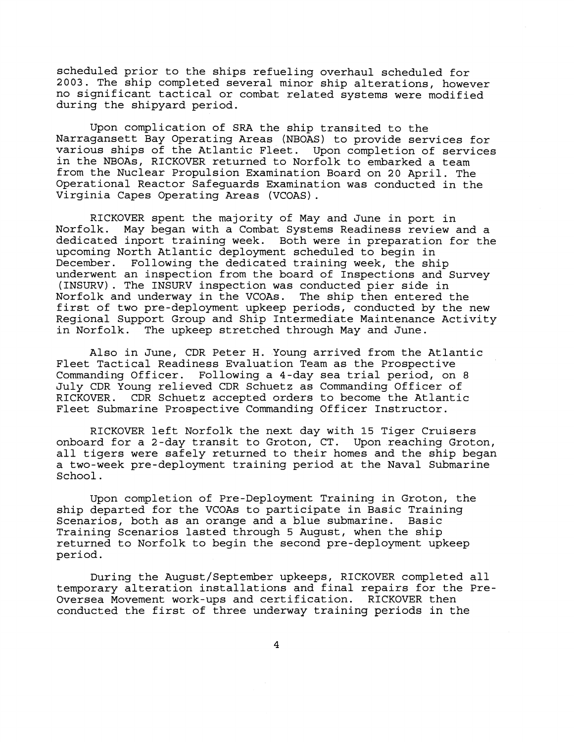scheduled prior to the ships refueling overhaul scheduled for 2003. The ship completed several minor ship alterations, however no significant tactical or combat related systems were modified during the shipyard period.

Upon complication of SRA the ship transited to the Narragansett Bay Operating Areas (NBOAS) to provide services for various ships of the Atlantic Fleet. Upon completion of services in the NBOAs, RICKOVER returned to Norfolk to embarked a team from the Nuclear Propulsion Examination Board on 20 April. The Operational Reactor Safeguards Examination was conducted in the Virginia Capes Operating Areas (VCOAS).

RICKOVER spent the majority of May and June in port in Norfolk. May began with a Combat Systems Readiness review and a dedicated inport training week. Both were in preparation for the upcoming North Atlantic deployment scheduled to begin in December. Following the dedicated training week, the ship underwent an inspection from the board of Inspections and Survey (INSURV). The INSURV inspection was conducted pier side in Norfolk and underway in the VCOAs. The ship then entered the first of two pre-deployment upkeep periods, conducted by the new Regional Support Group and Ship Intermediate Maintenance Activity<br>in Norfolk. The upkeep stretched through May and June. The upkeep stretched through May and June.

Also in June, CDR Peter H. Young arrived from the Atlantic Fleet Tactical Readiness Evaluation Team as the Prospective Commanding Officer. Following a 4-day sea trial period, on 8 July CDR Young relieved CDR Schuetz as Commanding Officer of RICKOVER. CDR Schuetz accepted orders to become the Atlantic Fleet Submarine Prospective Commanding Officer Instructor.

RICKOVER left Norfolk the next day with 15 Tiger Cruisers onboard for a 2-day transit to Groton, CT. Upon reaching Groton, all tigers were safely returned to their homes and the ship began a two-week pre-deployment training period at the Naval Submarine School.

Upon completion of Pre-Deployment Training in Groton, the ship departed for the VCOAs to participate in Basic Training<br>Scenarios, both as an orange and a blue submarine. Basic Scenarios, both as an orange and a blue submarine. Training Scenarios lasted through 5 August, when the ship returned to Norfolk to begin the second pre-deployment upkeep period.

During the August/September upkeeps, RICKOVER completed all temporary alteration installations and final repairs for the Pre-Oversea Movement work-ups and certification. RICKOVER then conducted the first of three underway training periods in the